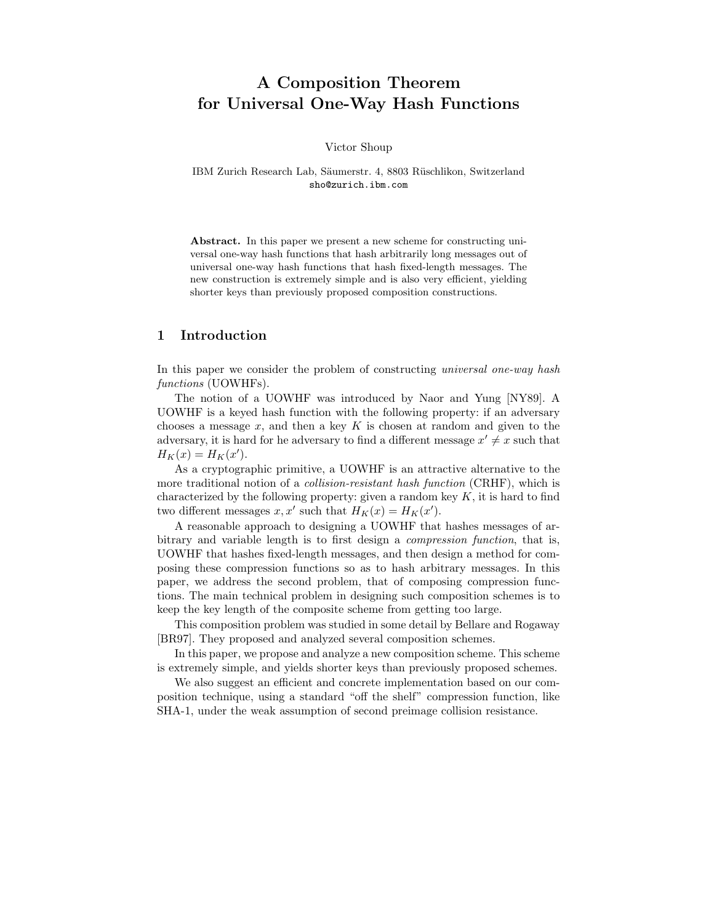# A Composition Theorem for Universal One-Way Hash Functions

Victor Shoup

IBM Zurich Research Lab, Säumerstr. 4, 8803 Rüschlikon, Switzerland sho@zurich.ibm.com

Abstract. In this paper we present a new scheme for constructing universal one-way hash functions that hash arbitrarily long messages out of universal one-way hash functions that hash fixed-length messages. The new construction is extremely simple and is also very efficient, yielding shorter keys than previously proposed composition constructions.

# 1 Introduction

In this paper we consider the problem of constructing *universal one-way hash* functions (UOWHFs).

The notion of a UOWHF was introduced by Naor and Yung [NY89]. A UOWHF is a keyed hash function with the following property: if an adversary chooses a message  $x$ , and then a key  $K$  is chosen at random and given to the adversary, it is hard for he adversary to find a different message  $x' \neq x$  such that  $H_K(x) = H_K(x').$ 

As a cryptographic primitive, a UOWHF is an attractive alternative to the more traditional notion of a *collision-resistant hash function* (CRHF), which is characterized by the following property: given a random key  $K$ , it is hard to find two different messages  $x, x'$  such that  $H_K(x) = H_K(x')$ .

A reasonable approach to designing a UOWHF that hashes messages of arbitrary and variable length is to first design a compression function, that is, UOWHF that hashes fixed-length messages, and then design a method for composing these compression functions so as to hash arbitrary messages. In this paper, we address the second problem, that of composing compression functions. The main technical problem in designing such composition schemes is to keep the key length of the composite scheme from getting too large.

This composition problem was studied in some detail by Bellare and Rogaway [BR97]. They proposed and analyzed several composition schemes.

In this paper, we propose and analyze a new composition scheme. This scheme is extremely simple, and yields shorter keys than previously proposed schemes.

We also suggest an efficient and concrete implementation based on our composition technique, using a standard "off the shelf" compression function, like SHA-1, under the weak assumption of second preimage collision resistance.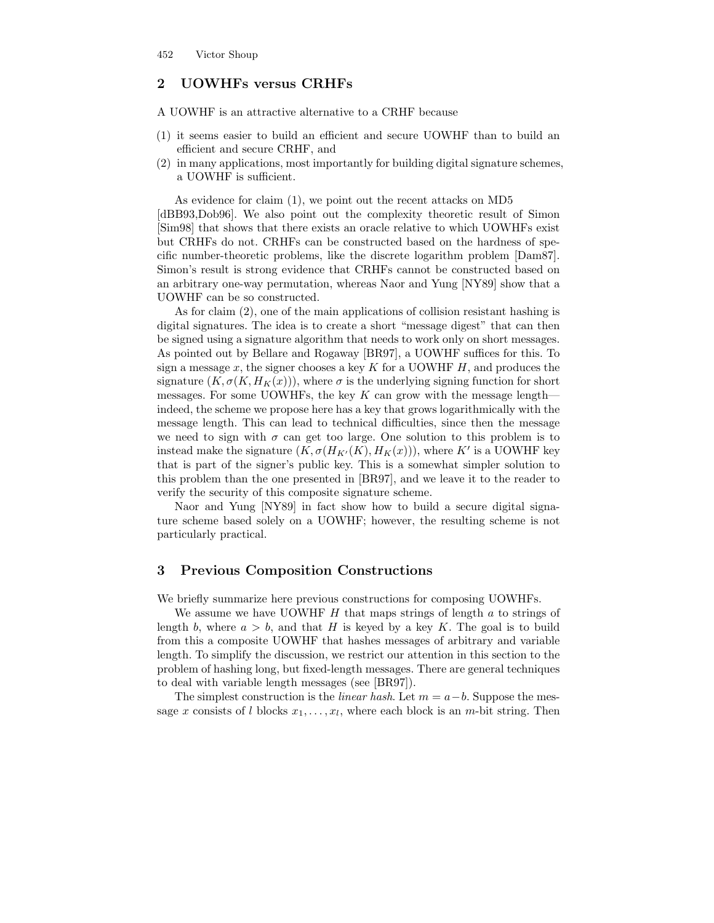# 2 UOWHFs versus CRHFs

A UOWHF is an attractive alternative to a CRHF because

- (1) it seems easier to build an efficient and secure UOWHF than to build an efficient and secure CRHF, and
- (2) in many applications, most importantly for building digital signature schemes, a UOWHF is sufficient.

As evidence for claim (1), we point out the recent attacks on MD5 [dBB93,Dob96]. We also point out the complexity theoretic result of Simon [Sim98] that shows that there exists an oracle relative to which UOWHFs exist but CRHFs do not. CRHFs can be constructed based on the hardness of specific number-theoretic problems, like the discrete logarithm problem [Dam87]. Simon's result is strong evidence that CRHFs cannot be constructed based on an arbitrary one-way permutation, whereas Naor and Yung [NY89] show that a UOWHF can be so constructed.

As for claim (2), one of the main applications of collision resistant hashing is digital signatures. The idea is to create a short "message digest" that can then be signed using a signature algorithm that needs to work only on short messages. As pointed out by Bellare and Rogaway [BR97], a UOWHF suffices for this. To sign a message x, the signer chooses a key  $K$  for a UOWHF  $H$ , and produces the signature  $(K, \sigma(K, H_K(x)))$ , where  $\sigma$  is the underlying signing function for short messages. For some UOWHFs, the key  $K$  can grow with the message length indeed, the scheme we propose here has a key that grows logarithmically with the message length. This can lead to technical difficulties, since then the message we need to sign with  $\sigma$  can get too large. One solution to this problem is to instead make the signature  $(K, \sigma(H_{K'}(K), H_K(x)))$ , where K' is a UOWHF key that is part of the signer's public key. This is a somewhat simpler solution to this problem than the one presented in [BR97], and we leave it to the reader to verify the security of this composite signature scheme.

Naor and Yung [NY89] in fact show how to build a secure digital signature scheme based solely on a UOWHF; however, the resulting scheme is not particularly practical.

## 3 Previous Composition Constructions

We briefly summarize here previous constructions for composing UOWHFs.

We assume we have UOWHF  $H$  that maps strings of length  $a$  to strings of length b, where  $a > b$ , and that H is keyed by a key K. The goal is to build from this a composite UOWHF that hashes messages of arbitrary and variable length. To simplify the discussion, we restrict our attention in this section to the problem of hashing long, but fixed-length messages. There are general techniques to deal with variable length messages (see [BR97]).

The simplest construction is the *linear hash*. Let  $m = a - b$ . Suppose the message x consists of l blocks  $x_1, \ldots, x_l$ , where each block is an m-bit string. Then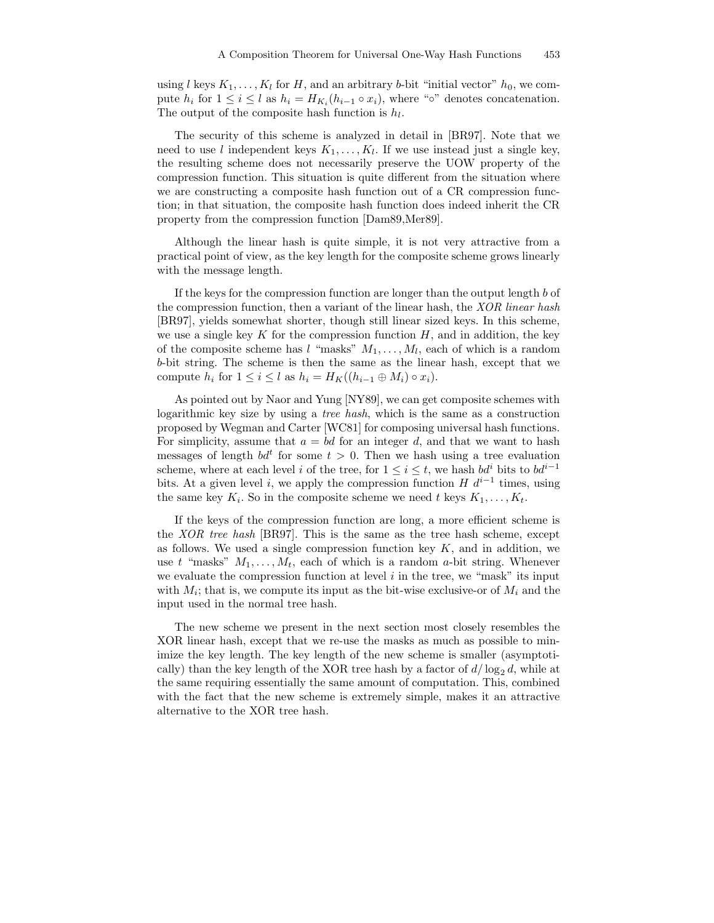using l keys  $K_1, \ldots, K_l$  for H, and an arbitrary b-bit "initial vector"  $h_0$ , we compute  $h_i$  for  $1 \leq i \leq l$  as  $h_i = H_{K_i}(h_{i-1} \circ x_i)$ , where "∘" denotes concatenation. The output of the composite hash function is  $h_l$ .

The security of this scheme is analyzed in detail in [BR97]. Note that we need to use l independent keys  $K_1, \ldots, K_l$ . If we use instead just a single key, the resulting scheme does not necessarily preserve the UOW property of the compression function. This situation is quite different from the situation where we are constructing a composite hash function out of a CR compression function; in that situation, the composite hash function does indeed inherit the CR property from the compression function [Dam89,Mer89].

Although the linear hash is quite simple, it is not very attractive from a practical point of view, as the key length for the composite scheme grows linearly with the message length.

If the keys for the compression function are longer than the output length b of the compression function, then a variant of the linear hash, the *XOR linear hash* [BR97], yields somewhat shorter, though still linear sized keys. In this scheme, we use a single key K for the compression function  $H$ , and in addition, the key of the composite scheme has  $l$  "masks"  $M_1, \ldots, M_l$ , each of which is a random b-bit string. The scheme is then the same as the linear hash, except that we compute  $h_i$  for  $1 \leq i \leq l$  as  $h_i = H_K((h_{i-1} \oplus M_i) \circ x_i)$ .

As pointed out by Naor and Yung [NY89], we can get composite schemes with logarithmic key size by using a tree hash, which is the same as a construction proposed by Wegman and Carter [WC81] for composing universal hash functions. For simplicity, assume that  $a = bd$  for an integer d, and that we want to hash messages of length  $bd^t$  for some  $t > 0$ . Then we hash using a tree evaluation scheme, where at each level i of the tree, for  $1 \leq i \leq t$ , we hash  $bd^{i}$  bits to  $bd^{i-1}$ bits. At a given level *i*, we apply the compression function  $H d^{i-1}$  times, using the same key  $K_i$ . So in the composite scheme we need t keys  $K_1, \ldots, K_t$ .

If the keys of the compression function are long, a more efficient scheme is the XOR tree hash [BR97]. This is the same as the tree hash scheme, except as follows. We used a single compression function key  $K$ , and in addition, we use t "masks"  $M_1, \ldots, M_t$ , each of which is a random a-bit string. Whenever we evaluate the compression function at level  $i$  in the tree, we "mask" its input with  $M_i$ ; that is, we compute its input as the bit-wise exclusive-or of  $M_i$  and the input used in the normal tree hash.

The new scheme we present in the next section most closely resembles the XOR linear hash, except that we re-use the masks as much as possible to minimize the key length. The key length of the new scheme is smaller (asymptotically) than the key length of the XOR tree hash by a factor of  $d/\log_2 d$ , while at the same requiring essentially the same amount of computation. This, combined with the fact that the new scheme is extremely simple, makes it an attractive alternative to the XOR tree hash.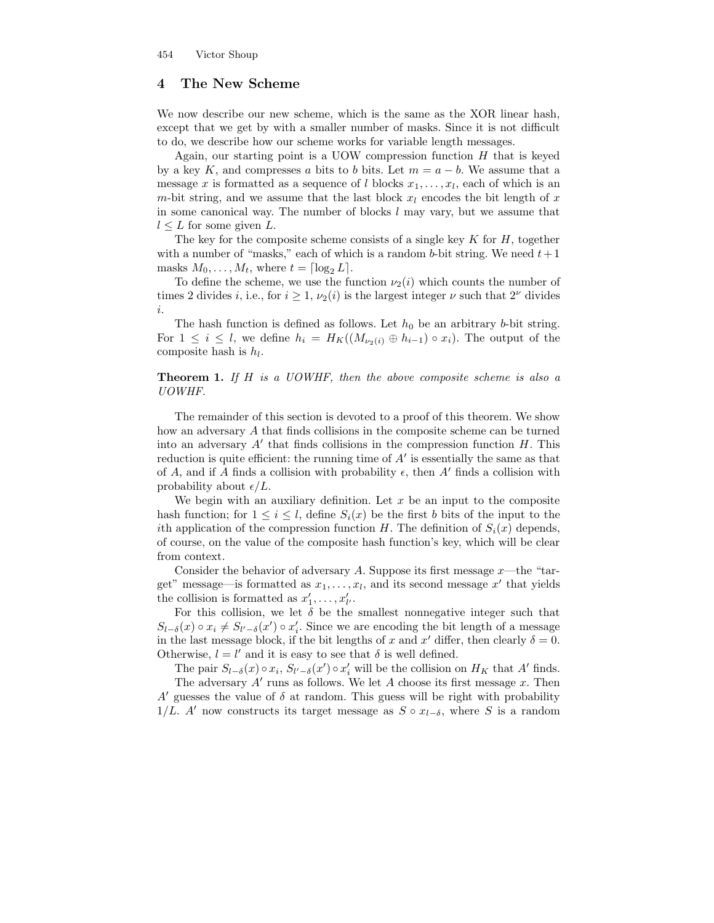# 4 The New Scheme

We now describe our new scheme, which is the same as the XOR linear hash, except that we get by with a smaller number of masks. Since it is not difficult to do, we describe how our scheme works for variable length messages.

Again, our starting point is a UOW compression function  $H$  that is keyed by a key K, and compresses a bits to b bits. Let  $m = a - b$ . We assume that a message x is formatted as a sequence of l blocks  $x_1, \ldots, x_l$ , each of which is an m-bit string, and we assume that the last block  $x_l$  encodes the bit length of x in some canonical way. The number of blocks  $l$  may vary, but we assume that  $l \leq L$  for some given L.

The key for the composite scheme consists of a single key  $K$  for  $H$ , together with a number of "masks," each of which is a random b-bit string. We need  $t+1$ masks  $M_0, \ldots, M_t$ , where  $t = \lceil \log_2 L \rceil$ .

To define the scheme, we use the function  $\nu_2(i)$  which counts the number of times 2 divides *i*, i.e., for  $i \geq 1$ ,  $\nu_2(i)$  is the largest integer  $\nu$  such that  $2^{\nu}$  divides i.

The hash function is defined as follows. Let  $h_0$  be an arbitrary b-bit string. For  $1 \leq i \leq l$ , we define  $h_i = H_K((M_{\nu_2(i)} \oplus h_{i-1}) \circ x_i)$ . The output of the composite hash is  $h_l$ .

#### **Theorem 1.** If  $H$  is a UOWHF, then the above composite scheme is also a UOWHF.

The remainder of this section is devoted to a proof of this theorem. We show how an adversary A that finds collisions in the composite scheme can be turned into an adversary  $A'$  that finds collisions in the compression function  $H$ . This reduction is quite efficient: the running time of  $A'$  is essentially the same as that of A, and if A finds a collision with probability  $\epsilon$ , then A' finds a collision with probability about  $\epsilon/L$ .

We begin with an auxiliary definition. Let  $x$  be an input to the composite hash function; for  $1 \leq i \leq l$ , define  $S_i(x)$  be the first b bits of the input to the ith application of the compression function H. The definition of  $S_i(x)$  depends, of course, on the value of the composite hash function's key, which will be clear from context.

Consider the behavior of adversary A. Suppose its first message  $x$ —the "target" message—is formatted as  $x_1, \ldots, x_l$ , and its second message  $x'$  that yields the collision is formatted as  $x'_1, \ldots, x'_{l'}$ .

For this collision, we let  $\delta$  be the smallest nonnegative integer such that  $S_{l-\delta}(x) \circ x_i \neq S_{l'-\delta}(x') \circ x_i'$ . Since we are encoding the bit length of a message in the last message block, if the bit lengths of x and x' differ, then clearly  $\delta = 0$ . Otherwise,  $l = l'$  and it is easy to see that  $\delta$  is well defined.

The pair  $S_{l-\delta}(x) \circ x_i$ ,  $S_{l'-\delta}(x') \circ x_i'$  will be the collision on  $H_K$  that A' finds. The adversary  $A'$  runs as follows. We let  $A$  choose its first message  $x$ . Then A' guesses the value of  $\delta$  at random. This guess will be right with probability 1/L. A' now constructs its target message as  $S \circ x_{l-\delta}$ , where S is a random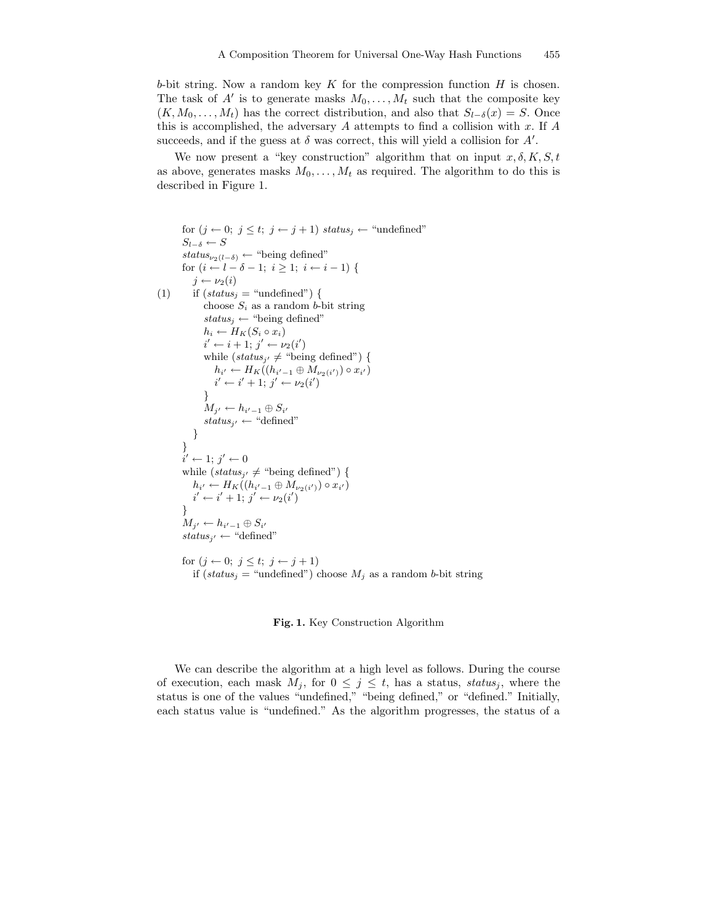b-bit string. Now a random key  $K$  for the compression function  $H$  is chosen. The task of  $A'$  is to generate masks  $M_0, \ldots, M_t$  such that the composite key  $(K, M_0, \ldots, M_t)$  has the correct distribution, and also that  $S_{l-\delta}(x) = S$ . Once this is accomplished, the adversary  $A$  attempts to find a collision with  $x$ . If  $A$ succeeds, and if the guess at  $\delta$  was correct, this will yield a collision for  $A'$ .

We now present a "key construction" algorithm that on input  $x, \delta, K, S, t$ as above, generates masks  $M_0, \ldots, M_t$  as required. The algorithm to do this is described in Figure 1.

```
for (j \leftarrow 0; j \leq t; j \leftarrow j + 1) status<sub>j</sub> \leftarrow "undefined"
S_{l-\delta} \leftarrow Sstatus_{\nu_2(l-\delta)} \leftarrow "being defined"
for (i \leftarrow l - \delta - 1; i \geq 1; i \leftarrow i - 1) {
    i \leftarrow \nu_2(i)(1) if (sstatus_i = "undefined") {
        choose S_i as a random b-bit string
        status_j \leftarrow "being defined"h_i \leftarrow H_K(S_i \circ x_i)i' \leftarrow i + 1; j' \leftarrow \nu_2(i')while (status_{j'} \neq \text{``being defined''}) {
            h_{i'} \leftarrow H_K((h_{i'-1} \oplus M_{\nu_2(i')}) \circ x_{i'})i' \leftarrow i' + 1; j' \leftarrow \nu_2(i')}
        M_{j'} \leftarrow h_{i'-1} \oplus S_{i'}status_{j'} \leftarrow "defined"}
 }
 \tilde{i}' \leftarrow 1; j' \leftarrow 0while (status_{j'} \neq "being defined") {
     h_{i'} \leftarrow H_K((h_{i'-1} \oplus M_{\nu_2(i')}) \circ x_{i'})i' \leftarrow i' + 1; j' \leftarrow \nu_2(i')}
 M_{j'} \leftarrow h_{i'-1} \oplus S_{i'}status_{j'} \leftarrow "defined"for (j \leftarrow 0; j \leq t; j \leftarrow j + 1)if (status<sub>j</sub> = "undefined") choose M_j as a random b-bit string
```
Fig. 1. Key Construction Algorithm

We can describe the algorithm at a high level as follows. During the course of execution, each mask  $M_j$ , for  $0 \leq j \leq t$ , has a status, status, where the status is one of the values "undefined," "being defined," or "defined." Initially, each status value is "undefined." As the algorithm progresses, the status of a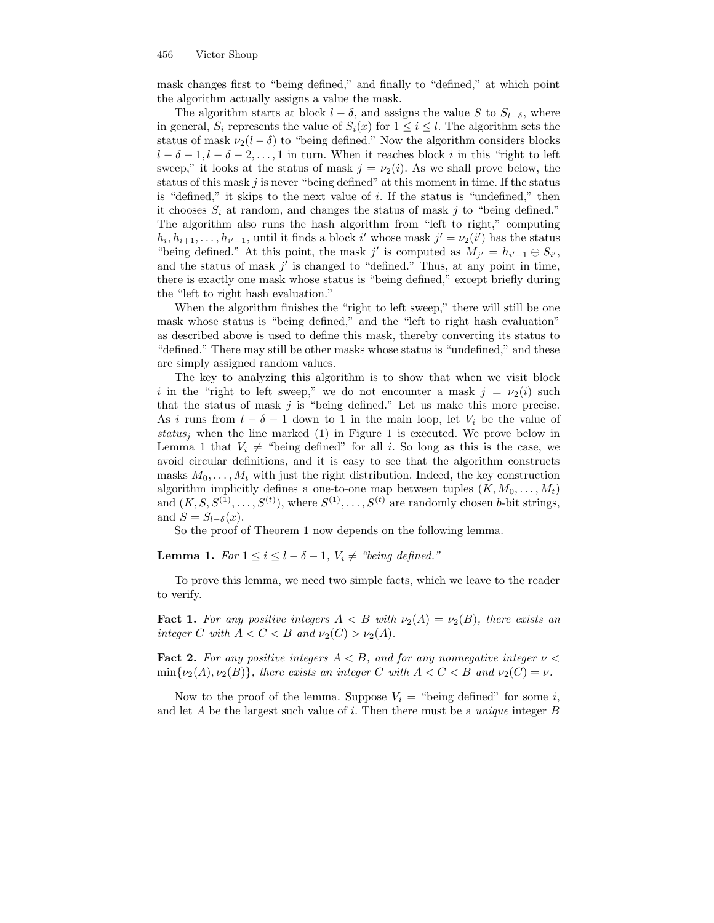mask changes first to "being defined," and finally to "defined," at which point the algorithm actually assigns a value the mask.

The algorithm starts at block  $l - \delta$ , and assigns the value S to  $S_{l-\delta}$ , where in general,  $S_i$  represents the value of  $S_i(x)$  for  $1 \leq i \leq l$ . The algorithm sets the status of mask  $\nu_2(l - \delta)$  to "being defined." Now the algorithm considers blocks  $l - \delta - 1, l - \delta - 2, \ldots, 1$  in turn. When it reaches block i in this "right to left" sweep," it looks at the status of mask  $j = \nu_2(i)$ . As we shall prove below, the status of this mask  $j$  is never "being defined" at this moment in time. If the status is "defined," it skips to the next value of i. If the status is "undefined," then it chooses  $S_i$  at random, and changes the status of mask j to "being defined." The algorithm also runs the hash algorithm from "left to right," computing  $h_i, h_{i+1}, \ldots, h_{i'-1}$ , until it finds a block i' whose mask  $j' = \nu_2(i')$  has the status "being defined." At this point, the mask j' is computed as  $M_{j'} = h_{i'-1} \oplus S_{i'}$ , and the status of mask  $j'$  is changed to "defined." Thus, at any point in time, there is exactly one mask whose status is "being defined," except briefly during the "left to right hash evaluation."

When the algorithm finishes the "right to left sweep," there will still be one mask whose status is "being defined," and the "left to right hash evaluation" as described above is used to define this mask, thereby converting its status to "defined." There may still be other masks whose status is "undefined," and these are simply assigned random values.

The key to analyzing this algorithm is to show that when we visit block i in the "right to left sweep," we do not encounter a mask  $j = \nu_2(i)$  such that the status of mask  $j$  is "being defined." Let us make this more precise. As i runs from  $l - \delta - 1$  down to 1 in the main loop, let  $V_i$  be the value of status<sub>i</sub> when the line marked (1) in Figure 1 is executed. We prove below in Lemma 1 that  $V_i \neq$  "being defined" for all i. So long as this is the case, we avoid circular definitions, and it is easy to see that the algorithm constructs masks  $M_0, \ldots, M_t$  with just the right distribution. Indeed, the key construction algorithm implicitly defines a one-to-one map between tuples  $(K, M_0, \ldots, M_t)$ and  $(K, S, S^{(1)}, \ldots, S^{(t)})$ , where  $S^{(1)}, \ldots, S^{(t)}$  are randomly chosen *b*-bit strings, and  $S = S_{l-\delta}(x)$ .

So the proof of Theorem 1 now depends on the following lemma.

**Lemma 1.** For  $1 \leq i \leq l-\delta-1$ ,  $V_i \neq \text{``being defined."}$ 

To prove this lemma, we need two simple facts, which we leave to the reader to verify.

**Fact 1.** For any positive integers  $A < B$  with  $\nu_2(A) = \nu_2(B)$ , there exists an integer C with  $A < C < B$  and  $\nu_2(C) > \nu_2(A)$ .

**Fact 2.** For any positive integers  $A \leq B$ , and for any nonnegative integer  $\nu \leq \frac{1}{2}$  $\min{\nu_2(A), \nu_2(B)}$ , there exists an integer C with  $A < C < B$  and  $\nu_2(C) = \nu$ .

Now to the proof of the lemma. Suppose  $V_i$  = "being defined" for some i, and let  $A$  be the largest such value of  $i$ . Then there must be a *unique* integer  $B$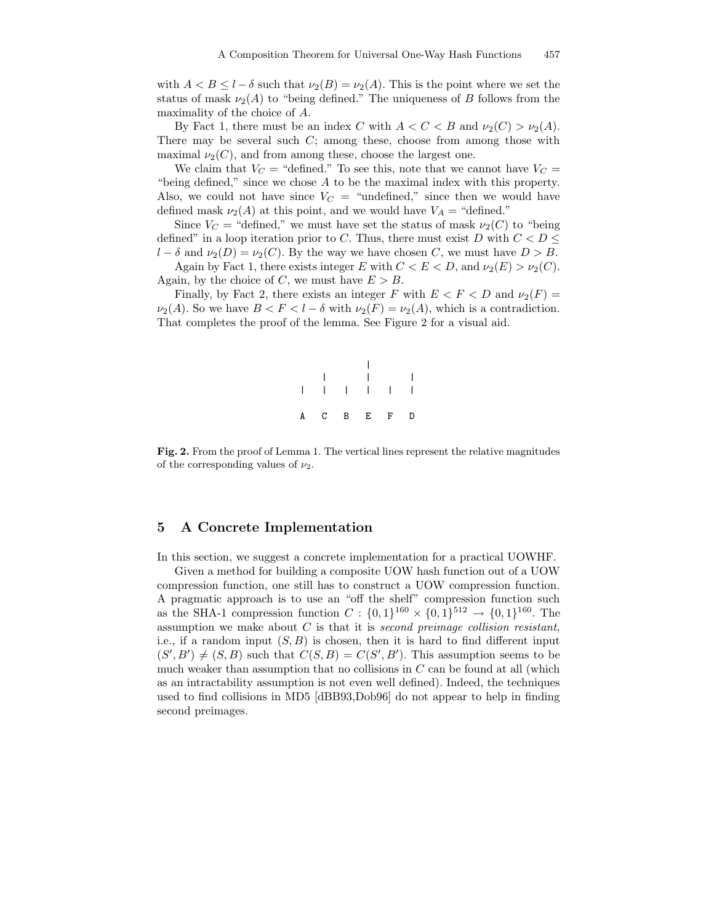with  $A < B \leq l - \delta$  such that  $\nu_2(B) = \nu_2(A)$ . This is the point where we set the status of mask  $\nu_2(A)$  to "being defined." The uniqueness of B follows from the maximality of the choice of A.

By Fact 1, there must be an index C with  $A < C < B$  and  $\nu_2(C) > \nu_2(A)$ . There may be several such  $C$ ; among these, choose from among those with maximal  $\nu_2(C)$ , and from among these, choose the largest one.

We claim that  $V_C$  = "defined." To see this, note that we cannot have  $V_C$  = "being defined," since we chose A to be the maximal index with this property. Also, we could not have since  $V_C$  = "undefined," since then we would have defined mask  $\nu_2(A)$  at this point, and we would have  $V_A$  = "defined."

Since  $V_C$  = "defined," we must have set the status of mask  $\nu_2(C)$  to "being defined" in a loop iteration prior to C. Thus, there must exist D with  $C < D \leq$  $l - \delta$  and  $\nu_2(D) = \nu_2(C)$ . By the way we have chosen C, we must have  $D > B$ .

Again by Fact 1, there exists integer E with  $C < E < D$ , and  $\nu_2(E) > \nu_2(C)$ . Again, by the choice of C, we must have  $E > B$ .

Finally, by Fact 2, there exists an integer F with  $E < F < D$  and  $\nu_2(F) =$  $\nu_2(A)$ . So we have  $B < F < l - \delta$  with  $\nu_2(F) = \nu_2(A)$ , which is a contradiction. That completes the proof of the lemma. See Figure 2 for a visual aid.



Fig. 2. From the proof of Lemma 1. The vertical lines represent the relative magnitudes of the corresponding values of  $\nu_2$ .

## 5 A Concrete Implementation

In this section, we suggest a concrete implementation for a practical UOWHF.

Given a method for building a composite UOW hash function out of a UOW compression function, one still has to construct a UOW compression function. A pragmatic approach is to use an "off the shelf" compression function such as the SHA-1 compression function  $C: \{0,1\}^{160} \times \{0,1\}^{512} \rightarrow \{0,1\}^{160}$ . The assumption we make about  $C$  is that it is second preimage collision resistant, i.e., if a random input  $(S, B)$  is chosen, then it is hard to find different input  $(S', B') \neq (S, B)$  such that  $C(S, B) = C(S', B')$ . This assumption seems to be much weaker than assumption that no collisions in  $C$  can be found at all (which as an intractability assumption is not even well defined). Indeed, the techniques used to find collisions in MD5 [dBB93,Dob96] do not appear to help in finding second preimages.